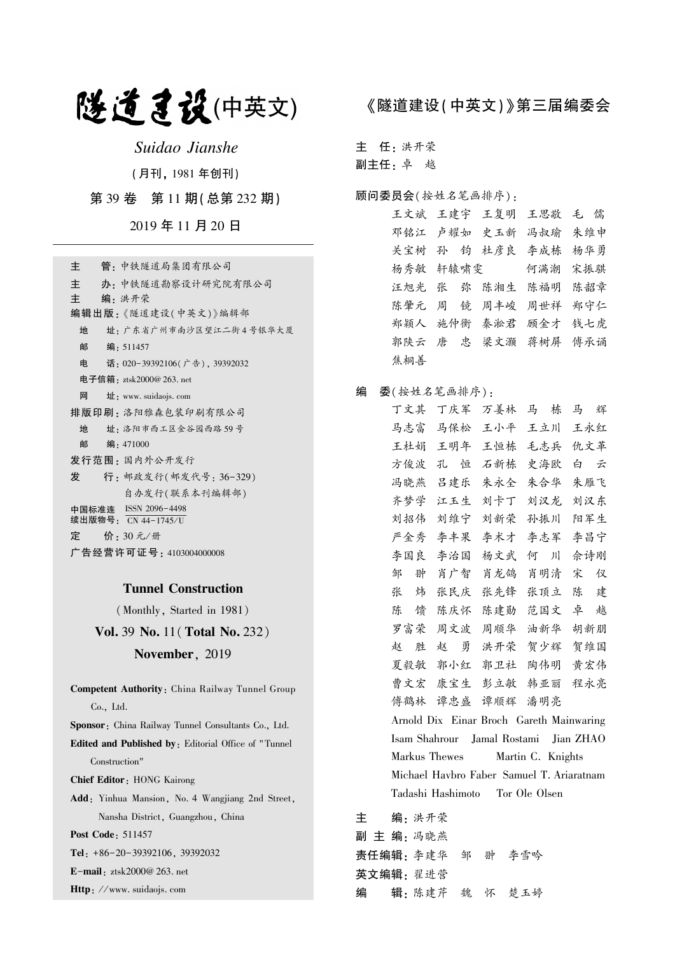# 隧道建设(中英文)

Suidao Jianshe

(月刊, 1981 年创刊)

第 39 卷 第 11 期(总第 232 期)

2019 年 11 月 20 日

| 管 - 中铁隧道局集团有限公司<br>主                        |
|---------------------------------------------|
| 主<br>办 · 中铁隧道勘察设计研究院有限公司                    |
| 主<br>编•洪开荣                                  |
| 编辑出版:《隧道建设(中英文)》编辑部                         |
| 地<br>址: 广东省广州市南沙区望江二街4号银华大厦                 |
| 邮 编: 511457                                 |
| 电<br>话: 020-39392106(广告), 39392032          |
| 电子信箱:ztsk2000@ 263. net                     |
| 网<br>$\mathbf{\pm}$ : www. suidaojs. com    |
| 排版印刷 · 洛阳雅森包装印刷有限公司                         |
| 地<br>址 · 洛阳市西工区金谷园西路 59号                    |
| 邮<br>编:471000                               |
| 发行范围 : 国内外公开发行                              |
| 行: 邮政发行(邮发代号: 36-329)<br>发                  |
| 自办发行(联系本刊编辑部)                               |
| 中国标准连 ISSN 2096-4498<br>续出版物号: CN 44-1745/U |
| 定<br>价: 30元/册                               |
| 广告经营许可证号 : 4103004000008                    |

## Tunnel Construction

(Monthly, Started in 1981)

Vol. 39 No. 11(Total No. 232) November, 2019

Competent Authority: China Railway Tunnel Group Co., Ltd. Sponsor: China Railway Tunnel Consultants Co., Ltd. Edited and Published by: Editorial Office of " Tunnel Construction" Chief Editor: HONG Kairong Add: Yinhua Mansion, No. 4 Wangjiang 2nd Street, Nansha District, Guangzhou, China Post Code: 511457 Tel: +86-20-39392106, 39392032

E-mail: ztsk2000@ 263. net

Http: //www. suidaojs. com

## 《隧道建设(中英文)》第三届编委会

主 任: 洪开荣

副主任: 卓 越

### 顾问委员会(按姓名笔画排序):

王文斌 王建宇 王复明 王思敬 毛 儒 邓铭江 卢耀如 史玉新 冯叔瑜 朱维申 关宝树 孙 钧 杜彦良 李成栋 杨华勇 杨秀敏 轩辕啸雯 何满潮 宋振骐 汪旭光 张 弥 陈湘生 陈福明 陈韶章 陈肇元 周 镜 周丰峻 周世祥 郑守仁 郑颖人 施仲衡 秦淞君 顾金才 钱七虎 郭陕云 唐 忠 梁文灏 蒋树屏 傅承诵 焦桐善

## 编 委(按姓名笔画排序):

丁文其 丁庆军 万姜林 马 栋 马 辉 马志富 马保松 王小平 王立川 王永红 王杜娟 王明年 王恒栋 毛志兵 仇文革 方俊波 孔 恒 石新栋 史海欧 白 云 冯晓燕 吕建乐 朱永全 朱合华 朱雁飞 齐梦学 江玉生 刘卡丁 刘汉龙 刘汉东 刘招伟 刘维宁 刘新荣 孙振川 阳军生 严金秀 李丰果 李术才 李志军 李昌宁 李国良 李治国 杨文武 何 川 佘诗刚 邹 翀 肖广智 肖龙鸽 肖明清 宋 仪 张 炜 张民庆 张先锋 张顶立 陈 建 陈 馈 陈庆怀 陈建勋 范国文 卓 越 罗富荣 周文波 周顺华 油新华 胡新朋 赵 胜 赵 勇 洪开荣 贺少辉 贺维国 夏毅敏 郭小红 郭卫社 陶伟明 黄宏伟 曹文宏 康宝生 彭立敏 韩亚丽 程永亮 傅鹤林 谭忠盛 谭顺辉 潘明亮 Arnold Dix Einar Broch Gareth Mainwaring Isam Shahrour Jamal Rostami Jian ZHAO Markus Thewes Martin C. Knights Michael Havbro Faber Samuel T. Ariaratnam Tadashi Hashimoto Tor Ole Olsen

主 编: 洪开荣 副 主 编: 冯晓燕 责任编辑: 李建华 邹 翀 李雪吟 英文编辑: 翟进营 编 辑: 陈建芹 魏 怀 楚玉婷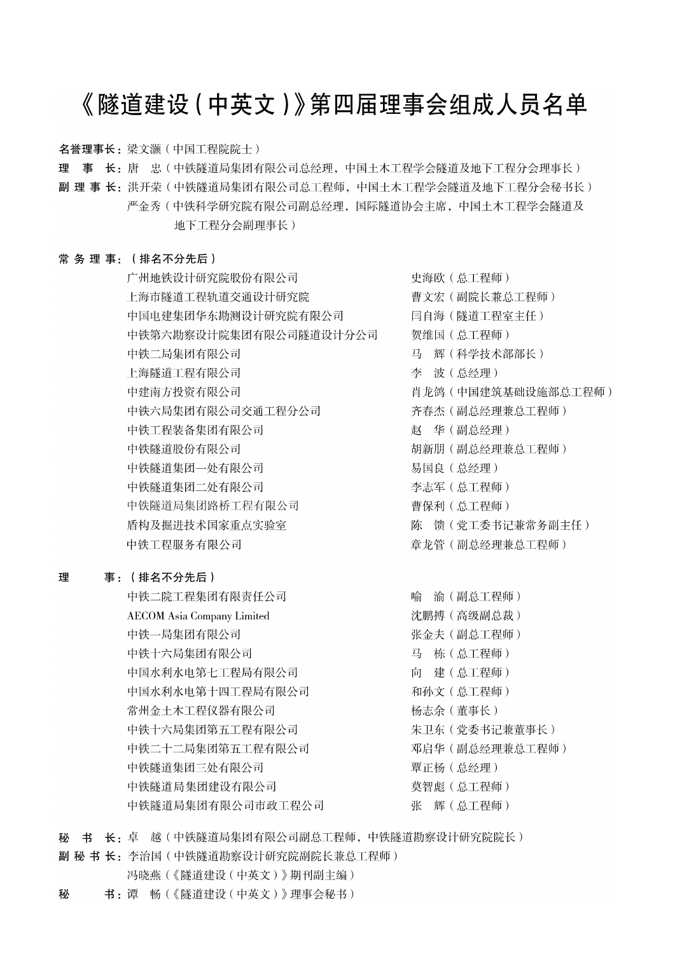# 《隧道建设 (中英文)》第四届理事会组成人员名单

名誉理事长: 梁文灏 (中国工程院院士)

理 事 长: 唐 忠(中铁隧道局集团有限公司总经理, 中国土木工程学会隧道及地下工程分会理事长)

副 理 事 长:洪开荣(中铁隧道局集团有限公司总工程师,中国土木工程学会隧道及地下工程分会秘书长) 严金秀 ( 中铁科学研究院有限公司副总经理, 国际隧道协会主席, 中国土木工程学会隧道及 地下工程分会副理事长)

## 常务理事: (排名不分先后)

广州地铁设计研究院股份有限公司 上海市隧道工程轨道交通设计研究院 中国电建集团华东勘测设计研究院有限公司 中铁第六勘察设计院集团有限公司隧道设计分公司 中铁二局集团有限公司 上海隧道工程有限公司 中建南方投资有限公司 中铁六局集团有限公司交通工程分公司 中铁工程装备集团有限公司 中铁隧道股份有限公司 中铁隧道集团一处有限公司 中铁隧道集团二处有限公司 中铁隧道局集团路桥工程有限公司 盾构及掘进技术国家重点实验室 中铁工程服务有限公司

#### 理 事: (排名不分先后)

中铁二院工程集团有限责任公司 **AECOM** Asia Company Limited 中铁一局集团有限公司 中铁十六局集团有限公司 中国水利水电第七工程局有限公司 中国水利水电第十四工程局有限公司 常州金土木工程仪器有限公司 中铁十六局集团第五工程有限公司 中铁二十二局集团第五工程有限公司 中铁隧道集团三处有限公司 中铁隧道局集团建设有限公司 中铁隧道局集团有限公司市政工程公司

史海欧 (总工程师) 曹文宏(副院长兼总工程师) 闫自海(隧道工程室主任) 贺维国 (总工程师) 马 辉(科学技术部部长) 李 波(总经理) 肖龙鸽 (中国建筑基础设施部总工程师) 齐春杰 (副总经理兼总工程师) 赵 华(副总经理) 胡新朋 (副总经理兼总工程师) 易国良 (总经理) 李志军 (总工程师) 曹保利 (总工程师) 陈 馈 (党工委书记兼常务副主任) 章龙管(副总经理兼总工程师)

喻 渝(副总工程师) 沈鹏搏(高级副总裁) 张金夫 (副总工程师) 马 栋 (总工程师) 向 建(总工程师) 和孙文 (总工程师) 杨志余(董事长) 朱卫东 (党委书记兼董事长) 邓启华 (副总经理兼总工程师) 覃正杨 (总经理) 莫智彪 (总工程师) 张 辉(总工程师)

秘 书 长: 卓 越(中铁隧道局集团有限公司副总工程师,中铁隧道勘察设计研究院院长)

副 秘 书 长: 李治国 (中铁隧道勘察设计研究院副院长兼总工程师)

- 冯晓燕(《隧道建设(中英文)》期刊副主编)
- 书:谭 畅(《隧道建设(中英文)》理事会秘书) 秘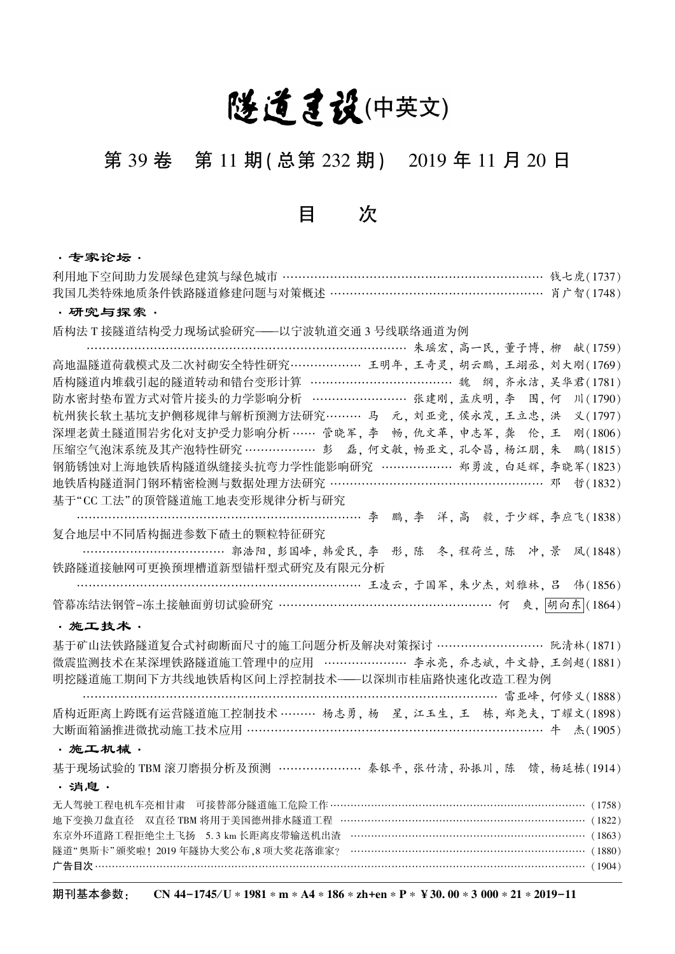# 隧道建设(中英文)

# 第 39 卷 第 11 期(总第 232 期) 2019 年 11 月 20 日

目 次

## ·专家论坛·

| 我国几类特殊地质条件铁路隧道修建问题与对策概述 ………………………………………………… 肖广智(1748)               |
|---------------------------------------------------------------------|
| ・研究与探索・                                                             |
| 盾构法 T 接隧道结构受力现场试验研究——以宁波轨道交通 3 号线联络通道为例                             |
| 献(1759)                                                             |
| 高地温隧道荷载模式及二次衬砌安全特性研究……………… 王明年,王奇灵,胡云鹏,王翊丞,刘大刚(1769)                |
|                                                                     |
| 防水密封垫布置方式对管片接头的力学影响分析 ……………………… 张建刚, 孟庆明, 李 围, 何<br>川 (1790)        |
| 杭州狭长软土基坑支护侧移规律与解析预测方法研究……… 马 元, 刘亚竞, 侯永茂, 王立忠, 洪<br>义(1797)         |
| 深埋老黄土隧道围岩劣化对支护受力影响分析 …… 管晓军, 李 畅, 仇文革, 申志军, 龚 伦, 王<br>刚(1806)       |
| 压缩空气泡沫系统及其产泡特性研究 ………………… 彭 磊, 何文敏, 畅亚文, 孔令昌, 杨江朋, 朱<br>鹏(1815)      |
| 钢筋锈蚀对上海地铁盾构隧道纵缝接头抗弯力学性能影响研究 ……………… 郑勇波, 白廷辉, 李晓军(1823)              |
| 地铁盾构隧道洞门钢环精密检测与数据处理方法研究 …………………………………………… 邓<br>哲(1832)              |
| 基于"CC 工法"的顶管隧道施工地表变形规律分析与研究                                         |
| ………………………………………………………… 李 鹏, 李 洋, 高 毅, 于少辉, 李应飞(1838)                |
| 复合地层中不同盾构掘进参数下碴土的颗粒特征研究                                             |
| ……………………………… 郭浩阳, 彭国峰, 韩爱民, 李 彤, 陈 冬, 程荷兰, 陈 冲, 景 凤(1848)           |
| 铁路隧道接触网可更换预埋槽道新型锚杆型式研究及有限元分析                                        |
|                                                                     |
| 管幕冻结法钢管-冻土接触面剪切试验研究 ……………………………………………… 何 爽, <mark>胡向东</mark> (1864) |
| ・施工技术・                                                              |
| 基于矿山法铁路隧道复合式衬砌断面尺寸的施工问题分析及解决对策探讨 ……………………… 阮清林(1871)                |
| 微震监测技术在某深埋铁路隧道施工管理中的应用 ………………… 李永亮, 乔志斌, 牛文静, 王剑超(1881)             |
| 明挖隧道施工期间下方共线地铁盾构区间上浮控制技术——以深圳市桂庙路快速化改造工程为例                          |
| ……………………………………………………………… 雷亚峰, 何修义(1888)                             |
| 盾构近距离上跨既有运营隧道施工控制技术 ……… 杨志勇, 杨 星, 江玉生, 王 栋, 郑尧夫, 丁耀文(1898)          |
| 大断面箱涵推进微扰动施工技术应用 …………………………………………………………………… 牛 杰(1905)               |
| ·施工机械·                                                              |
| 基于现场试验的 TBM 滚刀磨损分析及预测 ………………… 秦银平, 张竹清, 孙振川, 陈 馈, 杨延栋(1914)         |
| ・消息・                                                                |
| 无人驾驶工程电机车亮相甘肃 可接替部分隧道施工危险工作 ………………………………………………………………… (1758)        |
| 地下变换刀盘直径 双直径 TBM 将用于美国德州排水隧道工程 ………………………………………………………………… (1822)     |
| 东京外环道路工程拒绝尘土飞扬 5.3 km 长距离皮带输送机出渣 …………………………………………………………… (1863)     |
| 隧道"奥斯卡"颁奖啦! 2019年隧协大奖公布,8 项大奖花落谁家? ……………………………………………………………… (1880)  |
|                                                                     |

期刊基本参数: CN 44-1745/U ∗ 1981 \* m \* A4 \* 186 \* zh+en \* P \* ¥ 30. 00 \* 3 000 \* 21 \* 2019-11